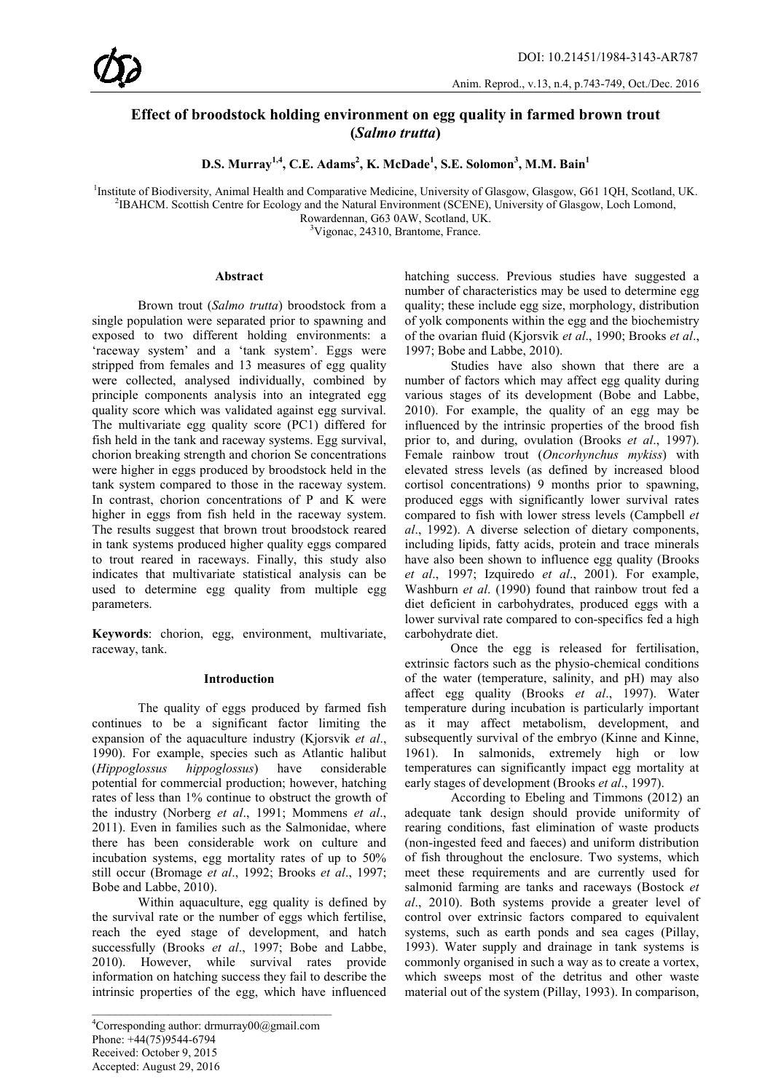# **Effect of broodstock holding environment on egg quality in farmed brown trout (***Salmo trutta***)**

 $D.S.$  Murray<sup>1,4</sup>, C.E. Adams<sup>2</sup>, K. McDade<sup>1</sup>, S.E. Solomon<sup>3</sup>, M.M. Bain<sup>1</sup>

<sup>1</sup>Institute of Biodiversity, Animal Health and Comparative Medicine, University of Glasgow, Glasgow, G61 1QH, Scotland, UK. <sup>2</sup>IB AHCM, Scotland, UK.

<sup>2</sup>IBAHCM. Scottish Centre for Ecology and the Natural Environment (SCENE), University of Glasgow, Loch Lomond,

Rowardennan, G63 0AW, Scotland, UK.

<sup>3</sup>Vigonac, 24310, Brantome, France.

#### **Abstract**

Brown trout (*Salmo trutta*) broodstock from a single population were separated prior to spawning and exposed to two different holding environments: a 'raceway system' and a 'tank system'. Eggs were stripped from females and 13 measures of egg quality were collected, analysed individually, combined by principle components analysis into an integrated egg quality score which was validated against egg survival. The multivariate egg quality score (PC1) differed for fish held in the tank and raceway systems. Egg survival, chorion breaking strength and chorion Se concentrations were higher in eggs produced by broodstock held in the tank system compared to those in the raceway system. In contrast, chorion concentrations of P and K were higher in eggs from fish held in the raceway system. The results suggest that brown trout broodstock reared in tank systems produced higher quality eggs compared to trout reared in raceways. Finally, this study also indicates that multivariate statistical analysis can be used to determine egg quality from multiple egg parameters.

**Keywords**: chorion, egg, environment, multivariate, raceway, tank.

### **Introduction**

The quality of eggs produced by farmed fish continues to be a significant factor limiting the expansion of the aquaculture industry (Kjorsvik *et al*., 1990). For example, species such as Atlantic halibut (*Hippoglossus hippoglossus*) have considerable potential for commercial production; however, hatching rates of less than 1% continue to obstruct the growth of the industry (Norberg *et al*., 1991; Mommens *et al*., 2011). Even in families such as the Salmonidae, where there has been considerable work on culture and incubation systems, egg mortality rates of up to 50% still occur (Bromage *et al*., 1992; Brooks *et al*., 1997; Bobe and Labbe, 2010).

Within aquaculture, egg quality is defined by the survival rate or the number of eggs which fertilise, reach the eyed stage of development, and hatch successfully (Brooks *et al*., 1997; Bobe and Labbe, 2010). However, while survival rates provide information on hatching success they fail to describe the intrinsic properties of the egg, which have influenced

hatching success. Previous studies have suggested a number of characteristics may be used to determine egg quality; these include egg size, morphology, distribution of yolk components within the egg and the biochemistry of the ovarian fluid (Kjorsvik *et al*., 1990; Brooks *et al*., 1997; Bobe and Labbe, 2010).

Studies have also shown that there are a number of factors which may affect egg quality during various stages of its development (Bobe and Labbe, 2010). For example, the quality of an egg may be influenced by the intrinsic properties of the brood fish prior to, and during, ovulation (Brooks *et al*., 1997). Female rainbow trout (*Oncorhynchus mykiss*) with elevated stress levels (as defined by increased blood cortisol concentrations) 9 months prior to spawning, produced eggs with significantly lower survival rates compared to fish with lower stress levels (Campbell *et al*., 1992). A diverse selection of dietary components, including lipids, fatty acids, protein and trace minerals have also been shown to influence egg quality (Brooks *et al*., 1997; Izquiredo *et al*., 2001). For example, Washburn *et al*. (1990) found that rainbow trout fed a diet deficient in carbohydrates, produced eggs with a lower survival rate compared to con-specifics fed a high carbohydrate diet.

Once the egg is released for fertilisation, extrinsic factors such as the physio-chemical conditions of the water (temperature, salinity, and pH) may also affect egg quality (Brooks *et al*., 1997). Water temperature during incubation is particularly important as it may affect metabolism, development, and subsequently survival of the embryo (Kinne and Kinne, 1961). In salmonids, extremely high or low temperatures can significantly impact egg mortality at early stages of development (Brooks *et al*., 1997).

According to Ebeling and Timmons (2012) an adequate tank design should provide uniformity of rearing conditions, fast elimination of waste products (non-ingested feed and faeces) and uniform distribution of fish throughout the enclosure. Two systems, which meet these requirements and are currently used for salmonid farming are tanks and raceways (Bostock *et al*., 2010). Both systems provide a greater level of control over extrinsic factors compared to equivalent systems, such as earth ponds and sea cages (Pillay, 1993). Water supply and drainage in tank systems is commonly organised in such a way as to create a vortex, which sweeps most of the detritus and other waste material out of the system (Pillay, 1993). In comparison,

<sup>4</sup> Corresponding author: drmurray00@gmail.com Phone: +44(75)9544-6794 Received: October 9, 2015 Accepted: August 29, 2016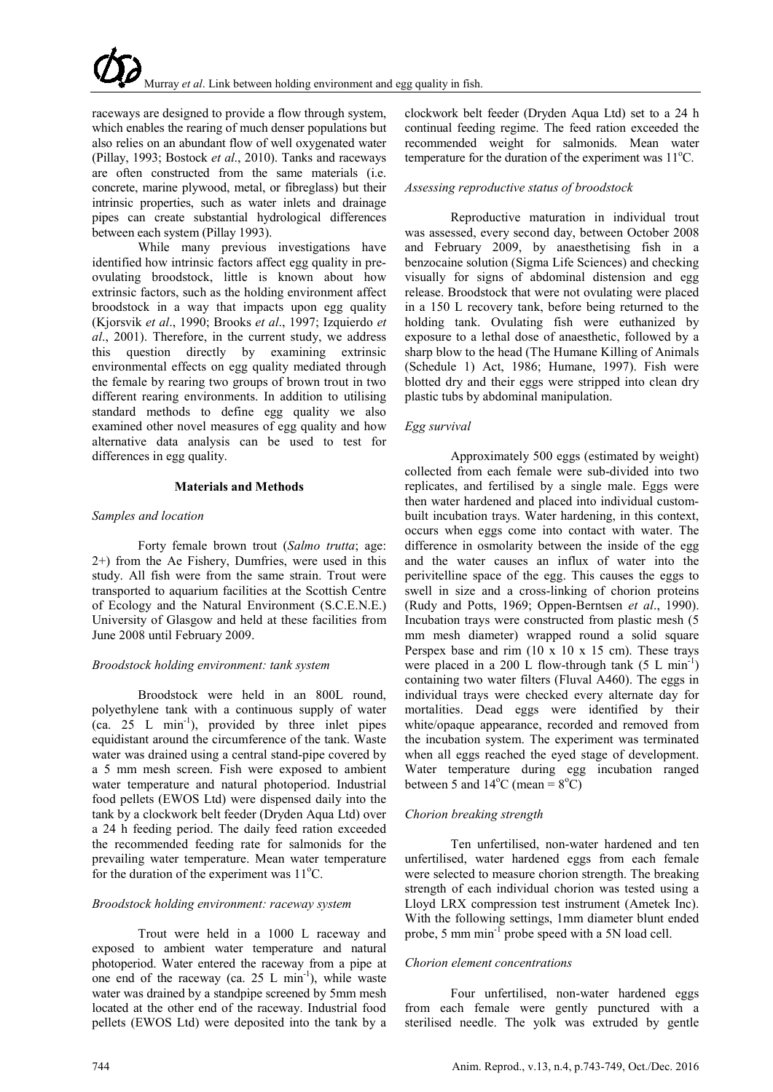raceways are designed to provide a flow through system, which enables the rearing of much denser populations but also relies on an abundant flow of well oxygenated water (Pillay, 1993; Bostock *et al*., 2010). Tanks and raceways are often constructed from the same materials (i.e. concrete, marine plywood, metal, or fibreglass) but their intrinsic properties, such as water inlets and drainage pipes can create substantial hydrological differences between each system (Pillay 1993).

While many previous investigations have identified how intrinsic factors affect egg quality in preovulating broodstock, little is known about how extrinsic factors, such as the holding environment affect broodstock in a way that impacts upon egg quality (Kjorsvik *et al*., 1990; Brooks *et al*., 1997; Izquierdo *et al*., 2001). Therefore, in the current study, we address this question directly by examining extrinsic environmental effects on egg quality mediated through the female by rearing two groups of brown trout in two different rearing environments. In addition to utilising standard methods to define egg quality we also examined other novel measures of egg quality and how alternative data analysis can be used to test for differences in egg quality.

### **Materials and Methods**

### *Samples and location*

Forty female brown trout (*Salmo trutta*; age: 2+) from the Ae Fishery, Dumfries, were used in this study. All fish were from the same strain. Trout were transported to aquarium facilities at the Scottish Centre of Ecology and the Natural Environment (S.C.E.N.E.) University of Glasgow and held at these facilities from June 2008 until February 2009.

### *Broodstock holding environment: tank system*

Broodstock were held in an 800L round, polyethylene tank with a continuous supply of water  $(ca. 25 L min<sup>-1</sup>)$ , provided by three inlet pipes equidistant around the circumference of the tank. Waste water was drained using a central stand-pipe covered by a 5 mm mesh screen. Fish were exposed to ambient water temperature and natural photoperiod. Industrial food pellets (EWOS Ltd) were dispensed daily into the tank by a clockwork belt feeder (Dryden Aqua Ltd) over a 24 h feeding period. The daily feed ration exceeded the recommended feeding rate for salmonids for the prevailing water temperature. Mean water temperature for the duration of the experiment was 11°C.

# *Broodstock holding environment: raceway system*

Trout were held in a 1000 L raceway and exposed to ambient water temperature and natural photoperiod. Water entered the raceway from a pipe at one end of the raceway (ca.  $25 \text{ L min}^{-1}$ ), while waste water was drained by a standpipe screened by 5mm mesh located at the other end of the raceway. Industrial food pellets (EWOS Ltd) were deposited into the tank by a

clockwork belt feeder (Dryden Aqua Ltd) set to a 24 h continual feeding regime. The feed ration exceeded the recommended weight for salmonids. Mean water temperature for the duration of the experiment was  $11^{\circ}$ C.

# *Assessing reproductive status of broodstock*

Reproductive maturation in individual trout was assessed, every second day, between October 2008 and February 2009, by anaesthetising fish in a benzocaine solution (Sigma Life Sciences) and checking visually for signs of abdominal distension and egg release. Broodstock that were not ovulating were placed in a 150 L recovery tank, before being returned to the holding tank. Ovulating fish were euthanized by exposure to a lethal dose of anaesthetic, followed by a sharp blow to the head (The Humane Killing of Animals (Schedule 1) Act, 1986; Humane, 1997). Fish were blotted dry and their eggs were stripped into clean dry plastic tubs by abdominal manipulation.

# *Egg survival*

Approximately 500 eggs (estimated by weight) collected from each female were sub-divided into two replicates, and fertilised by a single male. Eggs were then water hardened and placed into individual custombuilt incubation trays. Water hardening, in this context, occurs when eggs come into contact with water. The difference in osmolarity between the inside of the egg and the water causes an influx of water into the perivitelline space of the egg. This causes the eggs to swell in size and a cross-linking of chorion proteins (Rudy and Potts, 1969; Oppen-Berntsen *et al*., 1990). Incubation trays were constructed from plastic mesh (5 mm mesh diameter) wrapped round a solid square Perspex base and rim  $(10 \times 10 \times 15 \text{ cm})$ . These trays were placed in a 200 L flow-through tank  $(5 L min^{-1})$ containing two water filters (Fluval A460). The eggs in individual trays were checked every alternate day for mortalities. Dead eggs were identified by their white/opaque appearance, recorded and removed from the incubation system. The experiment was terminated when all eggs reached the eyed stage of development. Water temperature during egg incubation ranged between 5 and  $14^{\circ}$ C (mean =  $8^{\circ}$ C)

### *Chorion breaking strength*

Ten unfertilised, non-water hardened and ten unfertilised, water hardened eggs from each female were selected to measure chorion strength. The breaking strength of each individual chorion was tested using a Lloyd LRX compression test instrument (Ametek Inc). With the following settings, 1mm diameter blunt ended probe, 5 mm min<sup>-1</sup> probe speed with a 5N load cell.

### *Chorion element concentrations*

Four unfertilised, non-water hardened eggs from each female were gently punctured with a sterilised needle. The yolk was extruded by gentle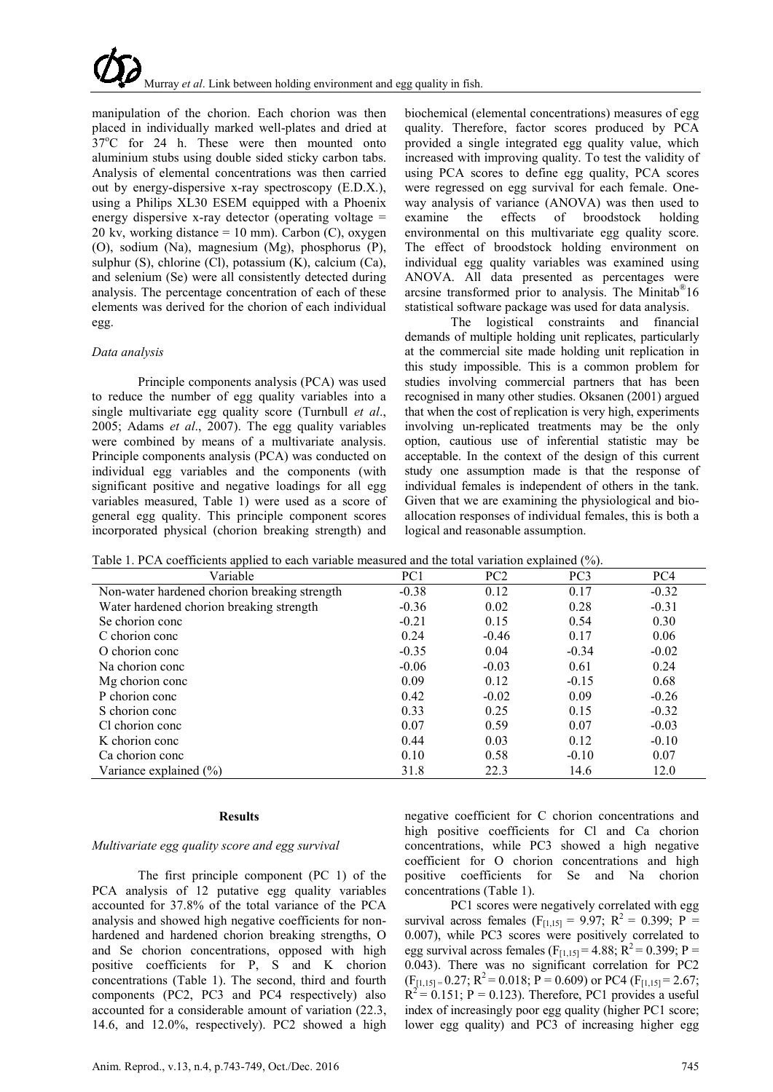manipulation of the chorion. Each chorion was then placed in individually marked well-plates and dried at 37°C for 24 h. These were then mounted onto aluminium stubs using double sided sticky carbon tabs. Analysis of elemental concentrations was then carried out by energy-dispersive x-ray spectroscopy (E.D.X.), using a Philips XL30 ESEM equipped with a Phoenix energy dispersive x-ray detector (operating voltage = 20 kv, working distance  $= 10$  mm). Carbon (C), oxygen (O), sodium (Na), magnesium (Mg), phosphorus (P), sulphur (S), chlorine (Cl), potassium (K), calcium (Ca), and selenium (Se) were all consistently detected during analysis. The percentage concentration of each of these elements was derived for the chorion of each individual egg.

### *Data analysis*

Principle components analysis (PCA) was used to reduce the number of egg quality variables into a single multivariate egg quality score (Turnbull *et al*., 2005; Adams *et al*., 2007). The egg quality variables were combined by means of a multivariate analysis. Principle components analysis (PCA) was conducted on individual egg variables and the components (with significant positive and negative loadings for all egg variables measured, Table 1) were used as a score of general egg quality. This principle component scores incorporated physical (chorion breaking strength) and

biochemical (elemental concentrations) measures of egg quality. Therefore, factor scores produced by PCA provided a single integrated egg quality value, which increased with improving quality. To test the validity of using PCA scores to define egg quality, PCA scores were regressed on egg survival for each female. Oneway analysis of variance (ANOVA) was then used to examine the effects of broodstock holding environmental on this multivariate egg quality score. The effect of broodstock holding environment on individual egg quality variables was examined using ANOVA. All data presented as percentages were arcsine transformed prior to analysis. The Minitab®16 statistical software package was used for data analysis.

The logistical constraints and financial demands of multiple holding unit replicates, particularly at the commercial site made holding unit replication in this study impossible. This is a common problem for studies involving commercial partners that has been recognised in many other studies. Oksanen (2001) argued that when the cost of replication is very high, experiments involving un-replicated treatments may be the only option, cautious use of inferential statistic may be acceptable. In the context of the design of this current study one assumption made is that the response of individual females is independent of others in the tank. Given that we are examining the physiological and bioallocation responses of individual females, this is both a logical and reasonable assumption.

Table 1. PCA coefficients applied to each variable measured and the total variation explained (%).

| Table 1. I CA cochicients applied to each variable incasticulation the total variation explained (70).<br>Variable | PC <sub>1</sub> | PC <sub>2</sub> | PC <sub>3</sub> | PC <sub>4</sub> |
|--------------------------------------------------------------------------------------------------------------------|-----------------|-----------------|-----------------|-----------------|
| Non-water hardened chorion breaking strength                                                                       | $-0.38$         | 0.12            | 0.17            | $-0.32$         |
| Water hardened chorion breaking strength                                                                           | $-0.36$         | 0.02            | 0.28            | $-0.31$         |
| Se chorion conc                                                                                                    | $-0.21$         | 0.15            | 0.54            | 0.30            |
| C chorion conc                                                                                                     | 0.24            | $-0.46$         | 0.17            | 0.06            |
| O chorion conc                                                                                                     | $-0.35$         | 0.04            | $-0.34$         | $-0.02$         |
| Na chorion conc                                                                                                    | $-0.06$         | $-0.03$         | 0.61            | 0.24            |
| Mg chorion conc                                                                                                    | 0.09            | 0.12            | $-0.15$         | 0.68            |
| P chorion conc                                                                                                     | 0.42            | $-0.02$         | 0.09            | $-0.26$         |
| S chorion conc                                                                                                     | 0.33            | 0.25            | 0.15            | $-0.32$         |
| Cl chorion conc                                                                                                    | 0.07            | 0.59            | 0.07            | $-0.03$         |
| K chorion conc                                                                                                     | 0.44            | 0.03            | 0.12            | $-0.10$         |
| Ca chorion conc                                                                                                    | 0.10            | 0.58            | $-0.10$         | 0.07            |
| Variance explained $(\% )$                                                                                         | 31.8            | 22.3            | 14.6            | 12.0            |

### **Results**

# *Multivariate egg quality score and egg survival*

The first principle component (PC 1) of the PCA analysis of 12 putative egg quality variables accounted for 37.8% of the total variance of the PCA analysis and showed high negative coefficients for nonhardened and hardened chorion breaking strengths, O and Se chorion concentrations, opposed with high positive coefficients for P, S and K chorion concentrations (Table 1). The second, third and fourth components (PC2, PC3 and PC4 respectively) also accounted for a considerable amount of variation (22.3, 14.6, and 12.0%, respectively). PC2 showed a high

negative coefficient for C chorion concentrations and high positive coefficients for Cl and Ca chorion concentrations, while PC3 showed a high negative coefficient for O chorion concentrations and high positive coefficients for Se and Na chorion concentrations (Table 1).

PC1 scores were negatively correlated with egg survival across females ( $F_{[1,15]} = 9.97$ ;  $R^2 = 0.399$ ;  $P =$ 0.007), while PC3 scores were positively correlated to egg survival across females ( $F_{[1,15]} = 4.88$ ;  $R^2 = 0.399$ ; P = 0.043). There was no significant correlation for PC2  $(F<sub>[1,15]</sub> = 0.27; R<sup>2</sup> = 0.018; P = 0.609)$  or PC4  $(F<sub>[1,15]</sub> = 2.67;$  $R^2 = 0.151$ ; P = 0.123). Therefore, PC1 provides a useful index of increasingly poor egg quality (higher PC1 score; lower egg quality) and PC3 of increasing higher egg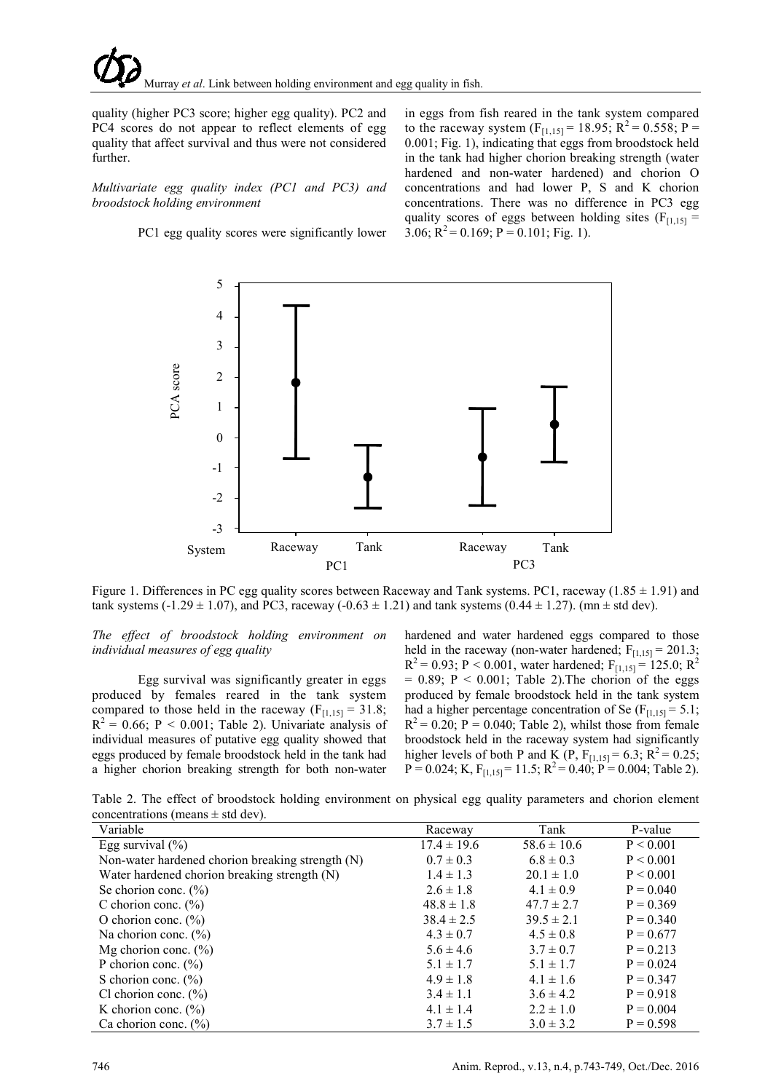quality (higher PC3 score; higher egg quality). PC2 and PC4 scores do not appear to reflect elements of egg quality that affect survival and thus were not considered further.

*Multivariate egg quality index (PC1 and PC3) and broodstock holding environment*

PC1 egg quality scores were significantly lower

in eggs from fish reared in the tank system compared to the raceway system  $(F_{[1,15]} = 18.95; R^2 = 0.558; P =$ 0.001; Fig. 1), indicating that eggs from broodstock held in the tank had higher chorion breaking strength (water hardened and non-water hardened) and chorion O concentrations and had lower P, S and K chorion concentrations. There was no difference in PC3 egg quality scores of eggs between holding sites ( $F_{[1,15]}$  = 3.06;  $R^2 = 0.169$ ;  $P = 0.101$ ; Fig. 1).



Figure 1. Differences in PC egg quality scores between Raceway and Tank systems. PC1, raceway ( $1.85 \pm 1.91$ ) and tank systems (-1.29  $\pm$  1.07), and PC3, raceway (-0.63  $\pm$  1.21) and tank systems (0.44  $\pm$  1.27). (mn  $\pm$  std dev).

*The effect of broodstock holding environment on individual measures of egg quality* 

Egg survival was significantly greater in eggs produced by females reared in the tank system compared to those held in the raceway ( $F_{[1,15]} = 31.8$ ;  $R^2 = 0.66$ ; P < 0.001; Table 2). Univariate analysis of individual measures of putative egg quality showed that eggs produced by female broodstock held in the tank had a higher chorion breaking strength for both non-water hardened and water hardened eggs compared to those held in the raceway (non-water hardened;  $F_{[1,15]} = 201.3$ ;  $R^{2} = 0.93$ ; P < 0.001, water hardened; F<sub>[1,15]</sub> = 125.0; R<sup>2</sup>  $= 0.89$ ; P < 0.001; Table 2). The chorion of the eggs produced by female broodstock held in the tank system had a higher percentage concentration of Se  $(F<sub>[1,15]</sub> = 5.1;$  $R^2$  = 0.20; P = 0.040; Table 2), whilst those from female broodstock held in the raceway system had significantly higher levels of both P and K (P,  $F_{[1,15]} = 6.3$ ;  $R^2 = 0.25$ ;  $P = 0.024$ ; K,  $F_{[1,15]} = 11.5$ ;  $R^2 = 0.40$ ;  $P = 0.004$ ; Table 2).

Table 2. The effect of broodstock holding environment on physical egg quality parameters and chorion element concentrations (means  $\pm$  std dev).

| Variable                                         | Raceway         | Tank            | P-value     |
|--------------------------------------------------|-----------------|-----------------|-------------|
| Egg survival $(\% )$                             | $17.4 \pm 19.6$ | $58.6 \pm 10.6$ | P < 0.001   |
| Non-water hardened chorion breaking strength (N) | $0.7 \pm 0.3$   | $6.8 \pm 0.3$   | P < 0.001   |
| Water hardened chorion breaking strength (N)     | $1.4 \pm 1.3$   | $20.1 \pm 1.0$  | P < 0.001   |
| Se chorion conc. $(\% )$                         | $2.6 \pm 1.8$   | $4.1 \pm 0.9$   | $P = 0.040$ |
| C chorion conc. $(\% )$                          | $48.8 \pm 1.8$  | $47.7 \pm 2.7$  | $P = 0.369$ |
| O chorion conc. $(\% )$                          | $38.4 \pm 2.5$  | $39.5 \pm 2.1$  | $P = 0.340$ |
| Na chorion conc. $(\%)$                          | $4.3 \pm 0.7$   | $4.5 \pm 0.8$   | $P = 0.677$ |
| Mg chorion conc. $(\% )$                         | $5.6 \pm 4.6$   | $3.7 \pm 0.7$   | $P = 0.213$ |
| P chorion conc. $(\% )$                          | $5.1 \pm 1.7$   | $5.1 \pm 1.7$   | $P = 0.024$ |
| S chorion conc. $(\% )$                          | $4.9 \pm 1.8$   | $4.1 \pm 1.6$   | $P = 0.347$ |
| Cl chorion conc. $(\% )$                         | $3.4 \pm 1.1$   | $3.6 \pm 4.2$   | $P = 0.918$ |
| K chorion conc. $(\% )$                          | $4.1 \pm 1.4$   | $2.2 \pm 1.0$   | $P = 0.004$ |
| Ca chorion conc. $(\% )$                         | $3.7 \pm 1.5$   | $3.0 \pm 3.2$   | $P = 0.598$ |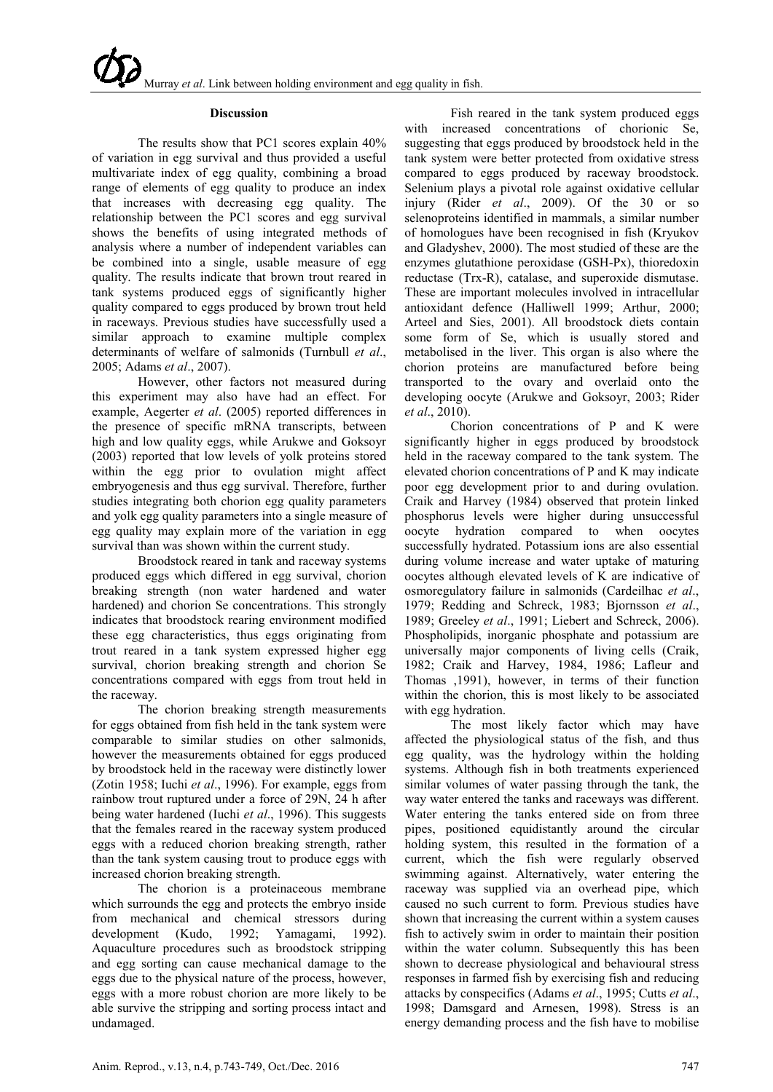#### **Discussion**

The results show that PC1 scores explain 40% of variation in egg survival and thus provided a useful multivariate index of egg quality, combining a broad range of elements of egg quality to produce an index that increases with decreasing egg quality. The relationship between the PC1 scores and egg survival shows the benefits of using integrated methods of analysis where a number of independent variables can be combined into a single, usable measure of egg quality. The results indicate that brown trout reared in tank systems produced eggs of significantly higher quality compared to eggs produced by brown trout held in raceways. Previous studies have successfully used a similar approach to examine multiple complex determinants of welfare of salmonids (Turnbull *et al*., 2005; Adams *et al*., 2007).

However, other factors not measured during this experiment may also have had an effect. For example, Aegerter *et al*. (2005) reported differences in the presence of specific mRNA transcripts, between high and low quality eggs, while Arukwe and Goksoyr (2003) reported that low levels of yolk proteins stored within the egg prior to ovulation might affect embryogenesis and thus egg survival. Therefore, further studies integrating both chorion egg quality parameters and yolk egg quality parameters into a single measure of egg quality may explain more of the variation in egg survival than was shown within the current study.

Broodstock reared in tank and raceway systems produced eggs which differed in egg survival, chorion breaking strength (non water hardened and water hardened) and chorion Se concentrations. This strongly indicates that broodstock rearing environment modified these egg characteristics, thus eggs originating from trout reared in a tank system expressed higher egg survival, chorion breaking strength and chorion Se concentrations compared with eggs from trout held in the raceway.

The chorion breaking strength measurements for eggs obtained from fish held in the tank system were comparable to similar studies on other salmonids, however the measurements obtained for eggs produced by broodstock held in the raceway were distinctly lower (Zotin 1958; Iuchi *et al*., 1996). For example, eggs from rainbow trout ruptured under a force of 29N, 24 h after being water hardened (Iuchi *et al*., 1996). This suggests that the females reared in the raceway system produced eggs with a reduced chorion breaking strength, rather than the tank system causing trout to produce eggs with increased chorion breaking strength.

The chorion is a proteinaceous membrane which surrounds the egg and protects the embryo inside from mechanical and chemical stressors during development (Kudo, 1992; Yamagami, 1992). Aquaculture procedures such as broodstock stripping and egg sorting can cause mechanical damage to the eggs due to the physical nature of the process, however, eggs with a more robust chorion are more likely to be able survive the stripping and sorting process intact and undamaged.

Fish reared in the tank system produced eggs with increased concentrations of chorionic Se, suggesting that eggs produced by broodstock held in the tank system were better protected from oxidative stress compared to eggs produced by raceway broodstock. Selenium plays a pivotal role against oxidative cellular injury (Rider *et al*., 2009). Of the 30 or so selenoproteins identified in mammals, a similar number of homologues have been recognised in fish (Kryukov and Gladyshev, 2000). The most studied of these are the enzymes glutathione peroxidase (GSH-Px), thioredoxin reductase (Trx-R), catalase, and superoxide dismutase. These are important molecules involved in intracellular antioxidant defence (Halliwell 1999; Arthur, 2000; Arteel and Sies, 2001). All broodstock diets contain some form of Se, which is usually stored and metabolised in the liver. This organ is also where the chorion proteins are manufactured before being transported to the ovary and overlaid onto the developing oocyte (Arukwe and Goksoyr, 2003; Rider *et al*., 2010).

Chorion concentrations of P and K were significantly higher in eggs produced by broodstock held in the raceway compared to the tank system. The elevated chorion concentrations of P and K may indicate poor egg development prior to and during ovulation. Craik and Harvey (1984) observed that protein linked phosphorus levels were higher during unsuccessful oocyte hydration compared to when oocytes successfully hydrated. Potassium ions are also essential during volume increase and water uptake of maturing oocytes although elevated levels of K are indicative of osmoregulatory failure in salmonids (Cardeilhac *et al*., 1979; Redding and Schreck, 1983; Bjornsson *et al*., 1989; Greeley *et al*., 1991; Liebert and Schreck, 2006). Phospholipids, inorganic phosphate and potassium are universally major components of living cells (Craik, 1982; Craik and Harvey, 1984, 1986; Lafleur and Thomas ,1991), however, in terms of their function within the chorion, this is most likely to be associated with egg hydration.

The most likely factor which may have affected the physiological status of the fish, and thus egg quality, was the hydrology within the holding systems. Although fish in both treatments experienced similar volumes of water passing through the tank, the way water entered the tanks and raceways was different. Water entering the tanks entered side on from three pipes, positioned equidistantly around the circular holding system, this resulted in the formation of a current, which the fish were regularly observed swimming against. Alternatively, water entering the raceway was supplied via an overhead pipe, which caused no such current to form. Previous studies have shown that increasing the current within a system causes fish to actively swim in order to maintain their position within the water column. Subsequently this has been shown to decrease physiological and behavioural stress responses in farmed fish by exercising fish and reducing attacks by conspecifics (Adams *et al*., 1995; Cutts *et al*., 1998; Damsgard and Arnesen, 1998). Stress is an energy demanding process and the fish have to mobilise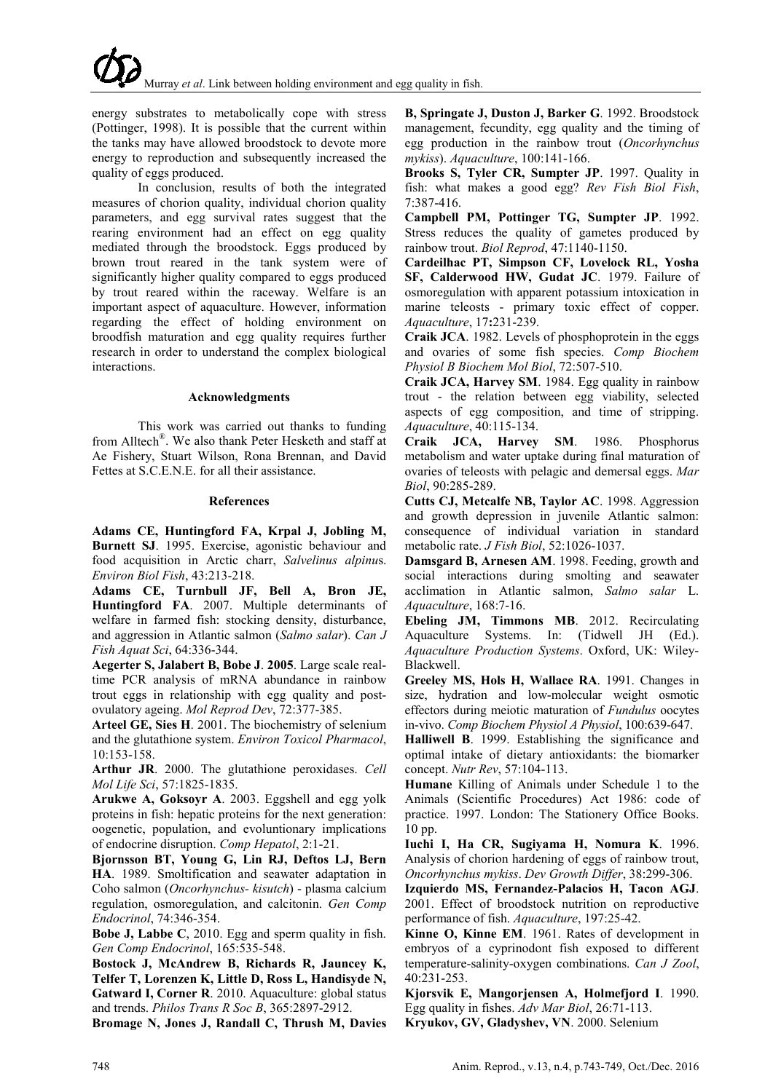energy substrates to metabolically cope with stress (Pottinger, 1998). It is possible that the current within the tanks may have allowed broodstock to devote more energy to reproduction and subsequently increased the quality of eggs produced.

In conclusion, results of both the integrated measures of chorion quality, individual chorion quality parameters, and egg survival rates suggest that the rearing environment had an effect on egg quality mediated through the broodstock. Eggs produced by brown trout reared in the tank system were of significantly higher quality compared to eggs produced by trout reared within the raceway. Welfare is an important aspect of aquaculture. However, information regarding the effect of holding environment on broodfish maturation and egg quality requires further research in order to understand the complex biological interactions.

#### **Acknowledgments**

This work was carried out thanks to funding from Alltech®. We also thank Peter Hesketh and staff at Ae Fishery, Stuart Wilson, Rona Brennan, and David Fettes at S.C.E.N.E. for all their assistance.

#### **References**

**Adams CE, Huntingford FA, Krpal J, Jobling M, Burnett SJ**. 1995. Exercise, agonistic behaviour and food acquisition in Arctic charr, *Salvelinus alpinu*s. *Environ Biol Fish*, 43:213-218.

**Adams CE, Turnbull JF, Bell A, Bron JE, Huntingford FA**. 2007. Multiple determinants of welfare in farmed fish: stocking density, disturbance, and aggression in Atlantic salmon (*Salmo salar*). *Can J Fish Aquat Sci*, 64:336-344.

**Aegerter S, Jalabert B, Bobe J**. **2005**. Large scale realtime PCR analysis of mRNA abundance in rainbow trout eggs in relationship with egg quality and postovulatory ageing. *Mol Reprod Dev*, 72:377-385.

**Arteel GE, Sies H**. 2001. The biochemistry of selenium and the glutathione system. *Environ Toxicol Pharmacol*, 10:153-158.

**Arthur JR**. 2000. The glutathione peroxidases. *Cell Mol Life Sci*, 57:1825-1835.

**Arukwe A, Goksoyr A**. 2003. Eggshell and egg yolk proteins in fish: hepatic proteins for the next generation: oogenetic, population, and evoluntionary implications of endocrine disruption. *Comp Hepatol*, 2:1-21.

**Bjornsson BT, Young G, Lin RJ, Deftos LJ, Bern HA**. 1989. Smoltification and seawater adaptation in Coho salmon (*Oncorhynchus- kisutch*) - plasma calcium regulation, osmoregulation, and calcitonin. *Gen Comp Endocrinol*, 74:346-354.

**Bobe J, Labbe C**, 2010. Egg and sperm quality in fish. *Gen Comp Endocrinol*, 165:535-548.

**Bostock J, McAndrew B, Richards R, Jauncey K, Telfer T, Lorenzen K, Little D, Ross L, Handisyde N, Gatward I, Corner R**. 2010. Aquaculture: global status and trends. *Philos Trans R Soc B*, 365:2897-2912.

**Bromage N, Jones J, Randall C, Thrush M, Davies** 

**B, Springate J, Duston J, Barker G**. 1992. Broodstock management, fecundity, egg quality and the timing of egg production in the rainbow trout (*Oncorhynchus mykiss*). *Aquaculture*, 100:141-166.

**Brooks S, Tyler CR, Sumpter JP**. 1997. Quality in fish: what makes a good egg? *Rev Fish Biol Fish*, 7:387-416.

**Campbell PM, Pottinger TG, Sumpter JP**. 1992. Stress reduces the quality of gametes produced by rainbow trout. *Biol Reprod*, 47:1140-1150.

**Cardeilhac PT, Simpson CF, Lovelock RL, Yosha SF, Calderwood HW, Gudat JC**. 1979. Failure of osmoregulation with apparent potassium intoxication in marine teleosts - primary toxic effect of copper. *Aquaculture*, 17**:**231-239.

**Craik JCA**. 1982. Levels of phosphoprotein in the eggs and ovaries of some fish species. *Comp Biochem Physiol B Biochem Mol Biol*, 72:507-510.

**Craik JCA, Harvey SM**. 1984. Egg quality in rainbow trout - the relation between egg viability, selected aspects of egg composition, and time of stripping. *Aquaculture*, 40:115-134.

**Craik JCA, Harvey SM**. 1986. Phosphorus metabolism and water uptake during final maturation of ovaries of teleosts with pelagic and demersal eggs. *Mar Biol*, 90:285-289.

**Cutts CJ, Metcalfe NB, Taylor AC**. 1998. Aggression and growth depression in juvenile Atlantic salmon: consequence of individual variation in standard metabolic rate. *J Fish Biol*, 52:1026-1037.

**Damsgard B, Arnesen AM**. 1998. Feeding, growth and social interactions during smolting and seawater acclimation in Atlantic salmon, *Salmo salar* L. *Aquaculture*, 168:7-16.

**Ebeling JM, Timmons MB**. 2012. Recirculating Aquaculture Systems. In: (Tidwell JH (Ed.). *Aquaculture Production Systems*. Oxford, UK: Wiley-Blackwell.

**Greeley MS, Hols H, Wallace RA**. 1991. Changes in size, hydration and low-molecular weight osmotic effectors during meiotic maturation of *Fundulus* oocytes in-vivo. *Comp Biochem Physiol A Physiol*, 100:639-647.

**Halliwell B**. 1999. Establishing the significance and optimal intake of dietary antioxidants: the biomarker concept. *Nutr Rev*, 57:104-113.

**Humane** Killing of Animals under Schedule 1 to the Animals (Scientific Procedures) Act 1986: code of practice. 1997. London: The Stationery Office Books. 10 pp.

**Iuchi I, Ha CR, Sugiyama H, Nomura K**. 1996. Analysis of chorion hardening of eggs of rainbow trout, *Oncorhynchus mykiss*. *Dev Growth Differ*, 38:299-306.

**Izquierdo MS, Fernandez-Palacios H, Tacon AGJ**. 2001. Effect of broodstock nutrition on reproductive performance of fish. *Aquaculture*, 197:25-42.

**Kinne O, Kinne EM**. 1961. Rates of development in embryos of a cyprinodont fish exposed to different temperature-salinity-oxygen combinations. *Can J Zool*, 40:231-253.

**Kjorsvik E, Mangorjensen A, Holmefjord I**. 1990. Egg quality in fishes. *Adv Mar Biol*, 26:71-113. **Kryukov, GV, Gladyshev, VN**. 2000. Selenium